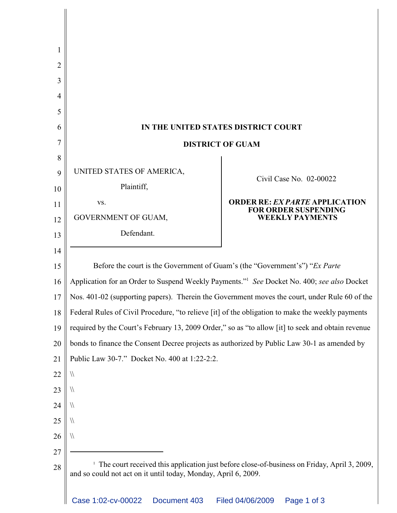| 2  |                                                                                                                                                               |                                                                      |
|----|---------------------------------------------------------------------------------------------------------------------------------------------------------------|----------------------------------------------------------------------|
| 3  |                                                                                                                                                               |                                                                      |
| 4  |                                                                                                                                                               |                                                                      |
| 5  |                                                                                                                                                               |                                                                      |
| 6  | IN THE UNITED STATES DISTRICT COURT                                                                                                                           |                                                                      |
| 7  | <b>DISTRICT OF GUAM</b>                                                                                                                                       |                                                                      |
| 8  |                                                                                                                                                               |                                                                      |
| 9  | UNITED STATES OF AMERICA,                                                                                                                                     | Civil Case No. 02-00022                                              |
| 10 | Plaintiff,                                                                                                                                                    |                                                                      |
| 11 | VS.                                                                                                                                                           | <b>ORDER RE: EX PARTE APPLICATION</b><br><b>FOR ORDER SUSPENDING</b> |
| 12 | GOVERNMENT OF GUAM,                                                                                                                                           | <b>WEEKLY PAYMENTS</b>                                               |
| 13 | Defendant.                                                                                                                                                    |                                                                      |
| 14 |                                                                                                                                                               |                                                                      |
| 15 | Before the court is the Government of Guam's (the "Government's") "Ex Parte                                                                                   |                                                                      |
| 16 | Application for an Order to Suspend Weekly Payments." <sup>1</sup> See Docket No. 400; see also Docket                                                        |                                                                      |
| 17 | Nos. 401-02 (supporting papers). Therein the Government moves the court, under Rule 60 of the                                                                 |                                                                      |
| 18 | Federal Rules of Civil Procedure, "to relieve [it] of the obligation to make the weekly payments                                                              |                                                                      |
| 19 | required by the Court's February 13, 2009 Order," so as "to allow [it] to seek and obtain revenue                                                             |                                                                      |
| 20 | bonds to finance the Consent Decree projects as authorized by Public Law 30-1 as amended by                                                                   |                                                                      |
| 21 | Public Law 30-7." Docket No. 400 at 1:22-2:2.                                                                                                                 |                                                                      |
| 22 | $\sqrt{}$                                                                                                                                                     |                                                                      |
| 23 | 11                                                                                                                                                            |                                                                      |
| 24 | 11                                                                                                                                                            |                                                                      |
| 25 | 11                                                                                                                                                            |                                                                      |
| 26 | $\sqrt{}$                                                                                                                                                     |                                                                      |
| 27 |                                                                                                                                                               |                                                                      |
| 28 | The court received this application just before close-of-business on Friday, April 3, 2009,<br>and so could not act on it until today, Monday, April 6, 2009. |                                                                      |
|    | Case 1:02-cv-00022<br>Document 403                                                                                                                            | Filed 04/06/2009<br>Page 1 of 3                                      |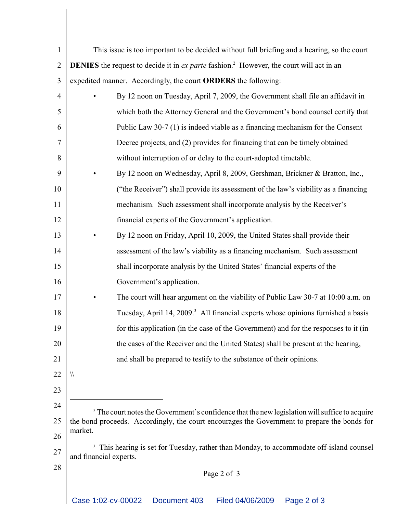| $\mathbf{1}$   | This issue is too important to be decided without full briefing and a hearing, so the court                                   |  |
|----------------|-------------------------------------------------------------------------------------------------------------------------------|--|
| $\overline{2}$ | <b>DENIES</b> the request to decide it in <i>ex parte</i> fashion. <sup>2</sup> However, the court will act in an             |  |
| 3              | expedited manner. Accordingly, the court ORDERS the following:                                                                |  |
| $\overline{4}$ | By 12 noon on Tuesday, April 7, 2009, the Government shall file an affidavit in                                               |  |
| 5              | which both the Attorney General and the Government's bond counsel certify that                                                |  |
| 6              | Public Law 30-7 (1) is indeed viable as a financing mechanism for the Consent                                                 |  |
| 7              | Decree projects, and (2) provides for financing that can be timely obtained                                                   |  |
| 8              | without interruption of or delay to the court-adopted timetable.                                                              |  |
| 9              | By 12 noon on Wednesday, April 8, 2009, Gershman, Brickner & Bratton, Inc.,                                                   |  |
| 10             | ("the Receiver") shall provide its assessment of the law's viability as a financing                                           |  |
| 11             | mechanism. Such assessment shall incorporate analysis by the Receiver's                                                       |  |
| 12             | financial experts of the Government's application.                                                                            |  |
| 13             | By 12 noon on Friday, April 10, 2009, the United States shall provide their                                                   |  |
| 14             | assessment of the law's viability as a financing mechanism. Such assessment                                                   |  |
| 15             | shall incorporate analysis by the United States' financial experts of the                                                     |  |
| 16             | Government's application.                                                                                                     |  |
| 17             | The court will hear argument on the viability of Public Law 30-7 at 10:00 a.m. on                                             |  |
| 18             | Tuesday, April 14, 2009. <sup>3</sup> All financial experts whose opinions furnished a basis                                  |  |
| 19             | for this application (in the case of the Government) and for the responses to it (in                                          |  |
| 20             | the cases of the Receiver and the United States) shall be present at the hearing,                                             |  |
| 21             | and shall be prepared to testify to the substance of their opinions.                                                          |  |
| 22             | $\sqrt{}$                                                                                                                     |  |
| 23             |                                                                                                                               |  |
| 24             | <sup>2</sup> The court notes the Government's confidence that the new legislation will suffice to acquire                     |  |
| 25             | the bond proceeds. Accordingly, the court encourages the Government to prepare the bonds for<br>market.                       |  |
| 26             |                                                                                                                               |  |
| 27             | <sup>3</sup> This hearing is set for Tuesday, rather than Monday, to accommodate off-island counsel<br>and financial experts. |  |
| 28             | Page 2 of 3                                                                                                                   |  |
|                |                                                                                                                               |  |
|                | Case 1:02-cv-00022<br>Document 403<br>Filed 04/06/2009<br>Page 2 of 3                                                         |  |